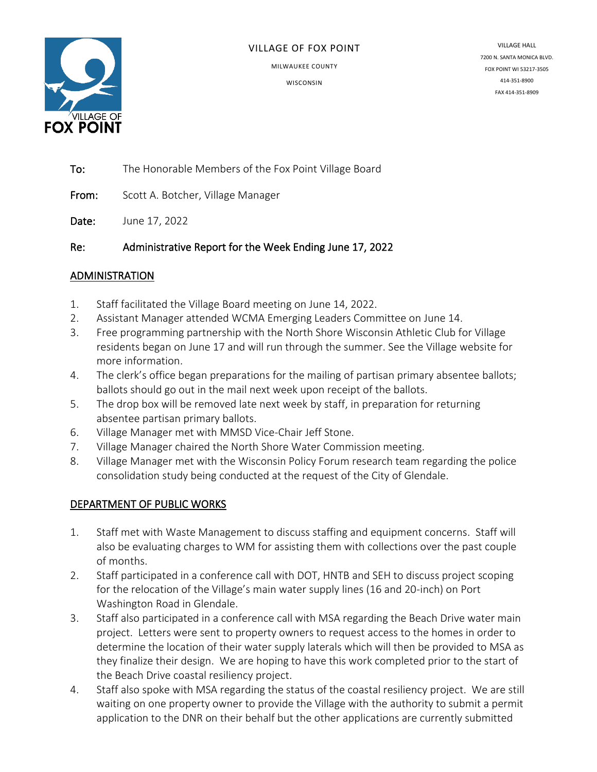

#### VILLAGE OF FOX POINT

MILWAUKEE COUNTY

**WISCONSIN** 

VILLAGE HALL 7200 N. SANTA MONICA BLVD. FOX POINT WI 53217-3505 414-351-8900 FAX 414-351-8909

To: The Honorable Members of the Fox Point Village Board

From: Scott A. Botcher, Village Manager

Date: June 17, 2022

Re: Administrative Report for the Week Ending June 17, 2022

#### ADMINISTRATION

- 1. Staff facilitated the Village Board meeting on June 14, 2022.
- 2. Assistant Manager attended WCMA Emerging Leaders Committee on June 14.
- 3. Free programming partnership with the North Shore Wisconsin Athletic Club for Village residents began on June 17 and will run through the summer. See the Village website for more information.
- 4. The clerk's office began preparations for the mailing of partisan primary absentee ballots; ballots should go out in the mail next week upon receipt of the ballots.
- 5. The drop box will be removed late next week by staff, in preparation for returning absentee partisan primary ballots.
- 6. Village Manager met with MMSD Vice-Chair Jeff Stone.
- 7. Village Manager chaired the North Shore Water Commission meeting.
- 8. Village Manager met with the Wisconsin Policy Forum research team regarding the police consolidation study being conducted at the request of the City of Glendale.

### DEPARTMENT OF PUBLIC WORKS

- 1. Staff met with Waste Management to discuss staffing and equipment concerns. Staff will also be evaluating charges to WM for assisting them with collections over the past couple of months.
- 2. Staff participated in a conference call with DOT, HNTB and SEH to discuss project scoping for the relocation of the Village's main water supply lines (16 and 20-inch) on Port Washington Road in Glendale.
- 3. Staff also participated in a conference call with MSA regarding the Beach Drive water main project. Letters were sent to property owners to request access to the homes in order to determine the location of their water supply laterals which will then be provided to MSA as they finalize their design. We are hoping to have this work completed prior to the start of the Beach Drive coastal resiliency project.
- 4. Staff also spoke with MSA regarding the status of the coastal resiliency project. We are still waiting on one property owner to provide the Village with the authority to submit a permit application to the DNR on their behalf but the other applications are currently submitted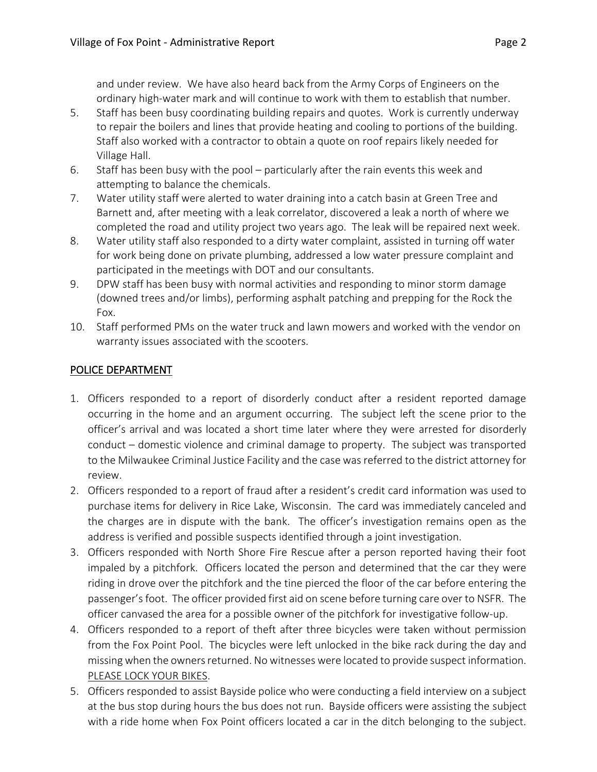and under review. We have also heard back from the Army Corps of Engineers on the ordinary high-water mark and will continue to work with them to establish that number.

- 5. Staff has been busy coordinating building repairs and quotes. Work is currently underway to repair the boilers and lines that provide heating and cooling to portions of the building. Staff also worked with a contractor to obtain a quote on roof repairs likely needed for Village Hall.
- 6. Staff has been busy with the pool particularly after the rain events this week and attempting to balance the chemicals.
- 7. Water utility staff were alerted to water draining into a catch basin at Green Tree and Barnett and, after meeting with a leak correlator, discovered a leak a north of where we completed the road and utility project two years ago. The leak will be repaired next week.
- 8. Water utility staff also responded to a dirty water complaint, assisted in turning off water for work being done on private plumbing, addressed a low water pressure complaint and participated in the meetings with DOT and our consultants.
- 9. DPW staff has been busy with normal activities and responding to minor storm damage (downed trees and/or limbs), performing asphalt patching and prepping for the Rock the Fox.
- 10. Staff performed PMs on the water truck and lawn mowers and worked with the vendor on warranty issues associated with the scooters.

## POLICE DEPARTMENT

- 1. Officers responded to a report of disorderly conduct after a resident reported damage occurring in the home and an argument occurring. The subject left the scene prior to the officer's arrival and was located a short time later where they were arrested for disorderly conduct – domestic violence and criminal damage to property. The subject was transported to the Milwaukee Criminal Justice Facility and the case was referred to the district attorney for review.
- 2. Officers responded to a report of fraud after a resident's credit card information was used to purchase items for delivery in Rice Lake, Wisconsin. The card was immediately canceled and the charges are in dispute with the bank. The officer's investigation remains open as the address is verified and possible suspects identified through a joint investigation.
- 3. Officers responded with North Shore Fire Rescue after a person reported having their foot impaled by a pitchfork. Officers located the person and determined that the car they were riding in drove over the pitchfork and the tine pierced the floor of the car before entering the passenger's foot. The officer provided first aid on scene before turning care over to NSFR. The officer canvased the area for a possible owner of the pitchfork for investigative follow-up.
- 4. Officers responded to a report of theft after three bicycles were taken without permission from the Fox Point Pool. The bicycles were left unlocked in the bike rack during the day and missing when the owners returned. No witnesses were located to provide suspect information. PLEASE LOCK YOUR BIKES.
- 5. Officers responded to assist Bayside police who were conducting a field interview on a subject at the bus stop during hours the bus does not run. Bayside officers were assisting the subject with a ride home when Fox Point officers located a car in the ditch belonging to the subject.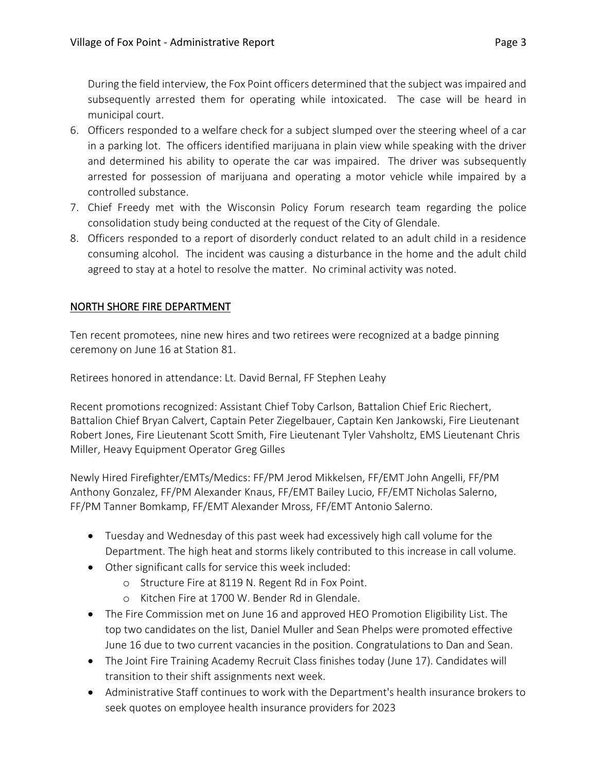During the field interview, the Fox Point officers determined that the subject was impaired and subsequently arrested them for operating while intoxicated. The case will be heard in municipal court.

- 6. Officers responded to a welfare check for a subject slumped over the steering wheel of a car in a parking lot. The officers identified marijuana in plain view while speaking with the driver and determined his ability to operate the car was impaired. The driver was subsequently arrested for possession of marijuana and operating a motor vehicle while impaired by a controlled substance.
- 7. Chief Freedy met with the Wisconsin Policy Forum research team regarding the police consolidation study being conducted at the request of the City of Glendale.
- 8. Officers responded to a report of disorderly conduct related to an adult child in a residence consuming alcohol. The incident was causing a disturbance in the home and the adult child agreed to stay at a hotel to resolve the matter. No criminal activity was noted.

# NORTH SHORE FIRE DEPARTMENT

Ten recent promotees, nine new hires and two retirees were recognized at a badge pinning ceremony on June 16 at Station 81.

Retirees honored in attendance: Lt. David Bernal, FF Stephen Leahy

Recent promotions recognized: Assistant Chief Toby Carlson, Battalion Chief Eric Riechert, Battalion Chief Bryan Calvert, Captain Peter Ziegelbauer, Captain Ken Jankowski, Fire Lieutenant Robert Jones, Fire Lieutenant Scott Smith, Fire Lieutenant Tyler Vahsholtz, EMS Lieutenant Chris Miller, Heavy Equipment Operator Greg Gilles

Newly Hired Firefighter/EMTs/Medics: FF/PM Jerod Mikkelsen, FF/EMT John Angelli, FF/PM Anthony Gonzalez, FF/PM Alexander Knaus, FF/EMT Bailey Lucio, FF/EMT Nicholas Salerno, FF/PM Tanner Bomkamp, FF/EMT Alexander Mross, FF/EMT Antonio Salerno.

- Tuesday and Wednesday of this past week had excessively high call volume for the Department. The high heat and storms likely contributed to this increase in call volume.
- Other significant calls for service this week included:
	- o Structure Fire at 8119 N. Regent Rd in Fox Point.
	- o Kitchen Fire at 1700 W. Bender Rd in Glendale.
- The Fire Commission met on June 16 and approved HEO Promotion Eligibility List. The top two candidates on the list, Daniel Muller and Sean Phelps were promoted effective June 16 due to two current vacancies in the position. Congratulations to Dan and Sean.
- The Joint Fire Training Academy Recruit Class finishes today (June 17). Candidates will transition to their shift assignments next week.
- Administrative Staff continues to work with the Department's health insurance brokers to seek quotes on employee health insurance providers for 2023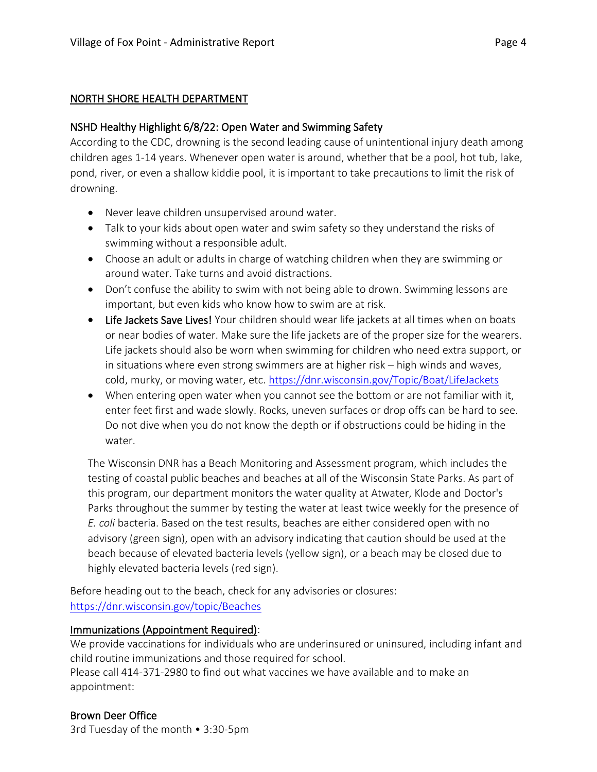#### NORTH SHORE HEALTH DEPARTMENT

### NSHD Healthy Highlight 6/8/22: Open Water and Swimming Safety

According to the CDC, drowning is the second leading cause of unintentional injury death among children ages 1-14 years. Whenever open water is around, whether that be a pool, hot tub, lake, pond, river, or even a shallow kiddie pool, it is important to take precautions to limit the risk of drowning.

- Never leave children unsupervised around water.
- Talk to your kids about open water and swim safety so they understand the risks of swimming without a responsible adult.
- Choose an adult or adults in charge of watching children when they are swimming or around water. Take turns and avoid distractions.
- Don't confuse the ability to swim with not being able to drown. Swimming lessons are important, but even kids who know how to swim are at risk.
- Life Jackets Save Lives! Your children should wear life jackets at all times when on boats or near bodies of water. Make sure the life jackets are of the proper size for the wearers. Life jackets should also be worn when swimming for children who need extra support, or in situations where even strong swimmers are at higher risk – high winds and waves, cold, murky, or moving water, etc.<https://dnr.wisconsin.gov/Topic/Boat/LifeJackets>
- When entering open water when you cannot see the bottom or are not familiar with it, enter feet first and wade slowly. Rocks, uneven surfaces or drop offs can be hard to see. Do not dive when you do not know the depth or if obstructions could be hiding in the water.

The Wisconsin DNR has a Beach Monitoring and Assessment program, which includes the testing of coastal public beaches and beaches at all of the Wisconsin State Parks. As part of this program, our department monitors the water quality at Atwater, Klode and Doctor's Parks throughout the summer by testing the water at least twice weekly for the presence of *E. coli* bacteria. Based on the test results, beaches are either considered open with no advisory (green sign), open with an advisory indicating that caution should be used at the beach because of elevated bacteria levels (yellow sign), or a beach may be closed due to highly elevated bacteria levels (red sign).

Before heading out to the beach, check for any advisories or closures: <https://dnr.wisconsin.gov/topic/Beaches>

### Immunizations (Appointment Required):

We provide vaccinations for individuals who are underinsured or uninsured, including infant and child routine immunizations and those required for school.

Please call 414-371-2980 to find out what vaccines we have available and to make an appointment:

# Brown Deer Office

3rd Tuesday of the month • 3:30-5pm